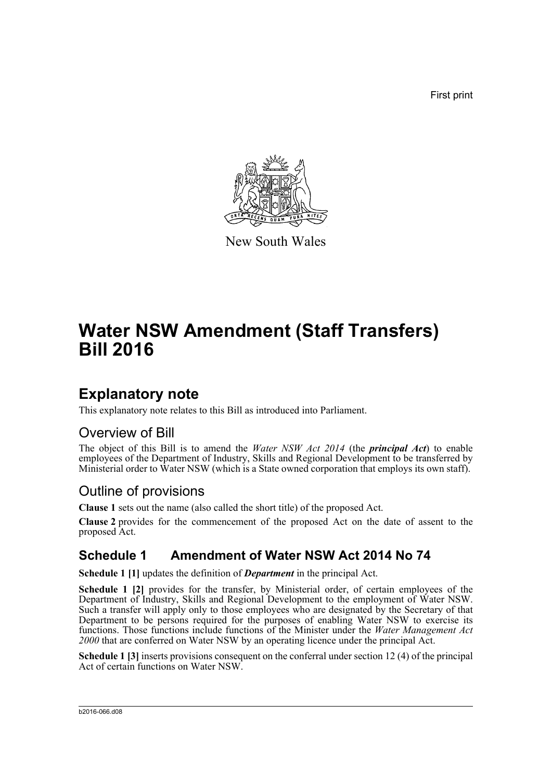First print



New South Wales

# **Water NSW Amendment (Staff Transfers) Bill 2016**

## **Explanatory note**

This explanatory note relates to this Bill as introduced into Parliament.

#### Overview of Bill

The object of this Bill is to amend the *Water NSW Act 2014* (the *principal Act*) to enable employees of the Department of Industry, Skills and Regional Development to be transferred by Ministerial order to Water NSW (which is a State owned corporation that employs its own staff).

### Outline of provisions

**Clause 1** sets out the name (also called the short title) of the proposed Act.

**Clause 2** provides for the commencement of the proposed Act on the date of assent to the proposed Act.

#### **Schedule 1 Amendment of Water NSW Act 2014 No 74**

**Schedule 1 [1]** updates the definition of *Department* in the principal Act.

**Schedule 1 [2]** provides for the transfer, by Ministerial order, of certain employees of the Department of Industry, Skills and Regional Development to the employment of Water NSW. Such a transfer will apply only to those employees who are designated by the Secretary of that Department to be persons required for the purposes of enabling Water NSW to exercise its functions. Those functions include functions of the Minister under the *Water Management Act 2000* that are conferred on Water NSW by an operating licence under the principal Act.

**Schedule 1 [3]** inserts provisions consequent on the conferral under section 12 (4) of the principal Act of certain functions on Water NSW.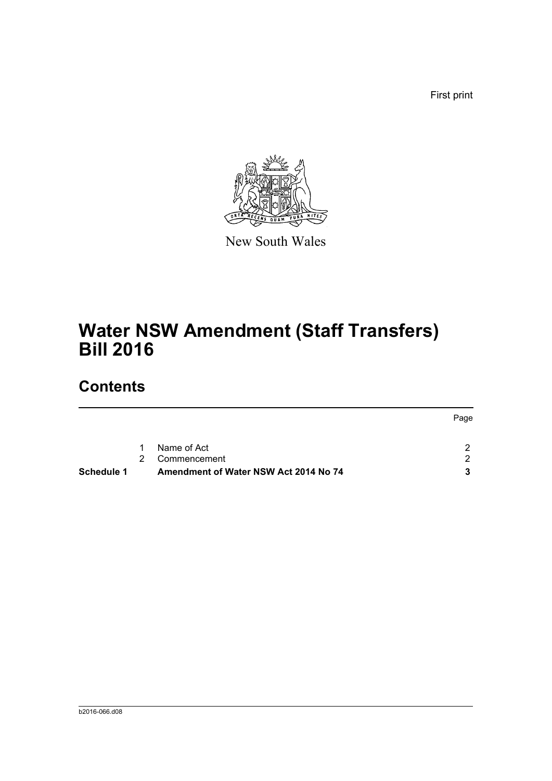First print



New South Wales

# **Water NSW Amendment (Staff Transfers) Bill 2016**

## **Contents**

| $\mathbf{1}$ | Name of Act | ົ |
|--------------|-------------|---|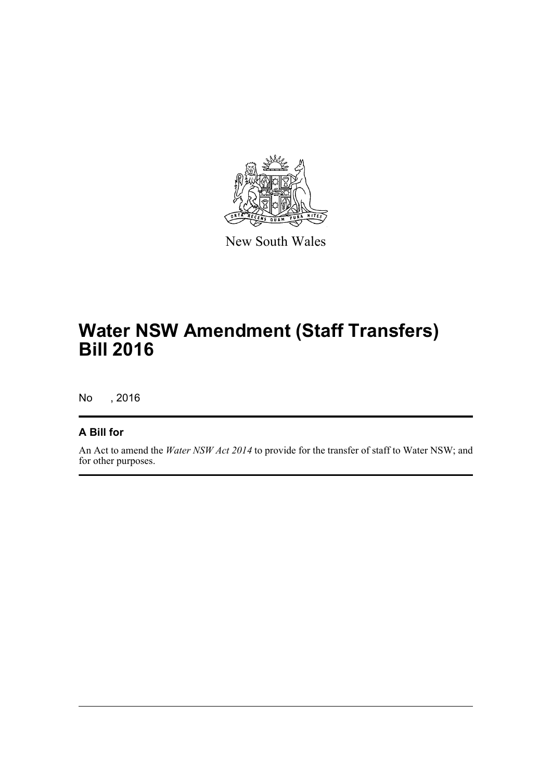

New South Wales

# **Water NSW Amendment (Staff Transfers) Bill 2016**

No , 2016

#### **A Bill for**

An Act to amend the *Water NSW Act 2014* to provide for the transfer of staff to Water NSW; and for other purposes.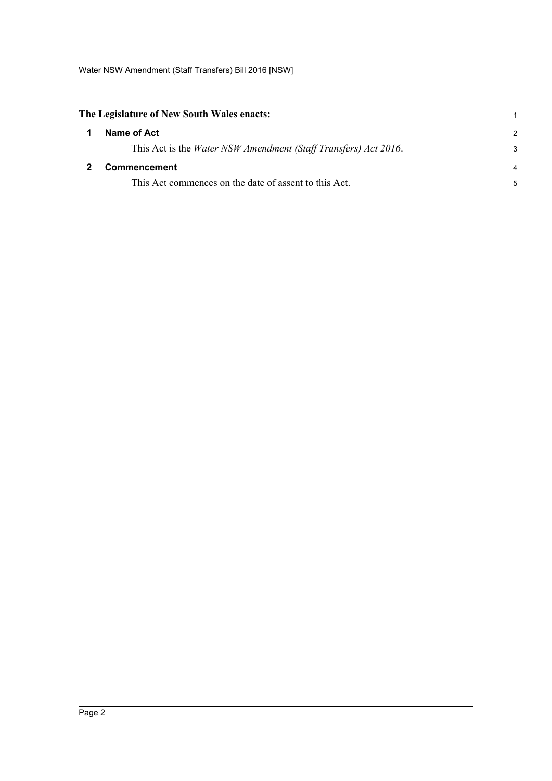<span id="page-3-1"></span><span id="page-3-0"></span>

| The Legislature of New South Wales enacts:                              |               |  |  |  |
|-------------------------------------------------------------------------|---------------|--|--|--|
| Name of Act                                                             | $\mathcal{P}$ |  |  |  |
| This Act is the <i>Water NSW Amendment (Staff Transfers) Act 2016</i> . | 3             |  |  |  |
| Commencement                                                            |               |  |  |  |
| This Act commences on the date of assent to this Act.                   | 5             |  |  |  |
|                                                                         |               |  |  |  |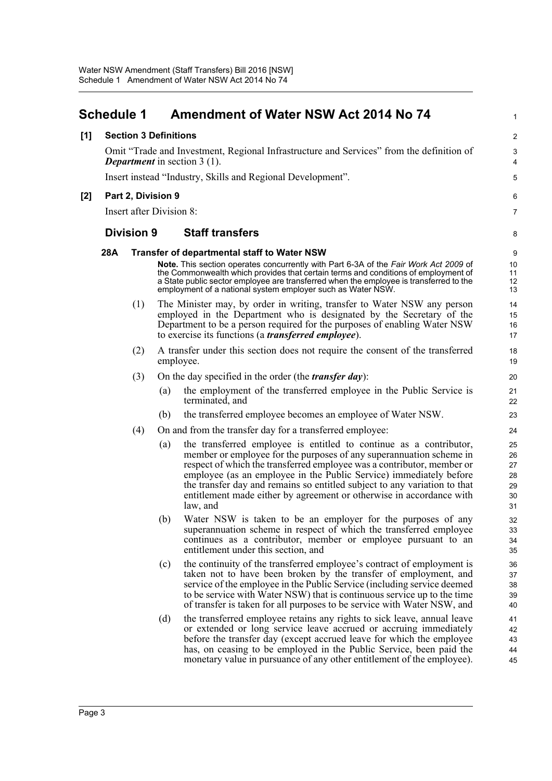<span id="page-4-0"></span>

|       | <b>Schedule 1</b>                                                                                                               |                   |     | Amendment of Water NSW Act 2014 No 74                                                                                                                                                                                                                                                                                                                                                                                                                      | $\mathbf{1}$                           |  |
|-------|---------------------------------------------------------------------------------------------------------------------------------|-------------------|-----|------------------------------------------------------------------------------------------------------------------------------------------------------------------------------------------------------------------------------------------------------------------------------------------------------------------------------------------------------------------------------------------------------------------------------------------------------------|----------------------------------------|--|
| [1]   | <b>Section 3 Definitions</b>                                                                                                    |                   |     |                                                                                                                                                                                                                                                                                                                                                                                                                                                            |                                        |  |
|       | Omit "Trade and Investment, Regional Infrastructure and Services" from the definition of<br><b>Department</b> in section 3 (1). |                   |     |                                                                                                                                                                                                                                                                                                                                                                                                                                                            |                                        |  |
|       | Insert instead "Industry, Skills and Regional Development".                                                                     |                   |     |                                                                                                                                                                                                                                                                                                                                                                                                                                                            |                                        |  |
| $[2]$ | Part 2, Division 9                                                                                                              |                   | 6   |                                                                                                                                                                                                                                                                                                                                                                                                                                                            |                                        |  |
|       | Insert after Division 8:                                                                                                        |                   |     |                                                                                                                                                                                                                                                                                                                                                                                                                                                            |                                        |  |
|       |                                                                                                                                 | <b>Division 9</b> |     | <b>Staff transfers</b>                                                                                                                                                                                                                                                                                                                                                                                                                                     | 8                                      |  |
|       | 28A                                                                                                                             |                   |     | <b>Transfer of departmental staff to Water NSW</b>                                                                                                                                                                                                                                                                                                                                                                                                         | 9                                      |  |
|       |                                                                                                                                 |                   |     | Note. This section operates concurrently with Part 6-3A of the Fair Work Act 2009 of<br>the Commonwealth which provides that certain terms and conditions of employment of<br>a State public sector employee are transferred when the employee is transferred to the<br>employment of a national system employer such as Water NSW.                                                                                                                        | 10<br>11<br>12<br>13                   |  |
|       |                                                                                                                                 | (1)               |     | The Minister may, by order in writing, transfer to Water NSW any person<br>employed in the Department who is designated by the Secretary of the<br>Department to be a person required for the purposes of enabling Water NSW<br>to exercise its functions (a <i>transferred employee</i> ).                                                                                                                                                                | 14<br>15<br>16<br>17                   |  |
|       |                                                                                                                                 | (2)               |     | A transfer under this section does not require the consent of the transferred<br>employee.                                                                                                                                                                                                                                                                                                                                                                 | 18<br>19                               |  |
|       |                                                                                                                                 | (3)               |     | On the day specified in the order (the <i>transfer day</i> ):                                                                                                                                                                                                                                                                                                                                                                                              | 20                                     |  |
|       |                                                                                                                                 |                   | (a) | the employment of the transferred employee in the Public Service is<br>terminated, and                                                                                                                                                                                                                                                                                                                                                                     | 21<br>22                               |  |
|       |                                                                                                                                 |                   | (b) | the transferred employee becomes an employee of Water NSW.                                                                                                                                                                                                                                                                                                                                                                                                 | 23                                     |  |
|       |                                                                                                                                 | (4)               |     | On and from the transfer day for a transferred employee:                                                                                                                                                                                                                                                                                                                                                                                                   | 24                                     |  |
|       |                                                                                                                                 |                   | (a) | the transferred employee is entitled to continue as a contributor,<br>member or employee for the purposes of any superannuation scheme in<br>respect of which the transferred employee was a contributor, member or<br>employee (as an employee in the Public Service) immediately before<br>the transfer day and remains so entitled subject to any variation to that<br>entitlement made either by agreement or otherwise in accordance with<br>law, and | 25<br>26<br>27<br>28<br>29<br>30<br>31 |  |
|       |                                                                                                                                 |                   | (b) | Water NSW is taken to be an employer for the purposes of any<br>superannuation scheme in respect of which the transferred employee<br>continues as a contributor, member or employee pursuant to an<br>entitlement under this section, and                                                                                                                                                                                                                 | 32<br>33<br>34<br>35                   |  |
|       |                                                                                                                                 |                   | (c) | the continuity of the transferred employee's contract of employment is<br>taken not to have been broken by the transfer of employment, and<br>service of the employee in the Public Service (including service deemed<br>to be service with Water NSW) that is continuous service up to the time<br>of transfer is taken for all purposes to be service with Water NSW, and                                                                                | 36<br>37<br>38<br>39<br>40             |  |
|       |                                                                                                                                 |                   | (d) | the transferred employee retains any rights to sick leave, annual leave<br>or extended or long service leave accrued or accruing immediately<br>before the transfer day (except accrued leave for which the employee<br>has, on ceasing to be employed in the Public Service, been paid the<br>monetary value in pursuance of any other entitlement of the employee).                                                                                      | 41<br>42<br>43<br>44<br>45             |  |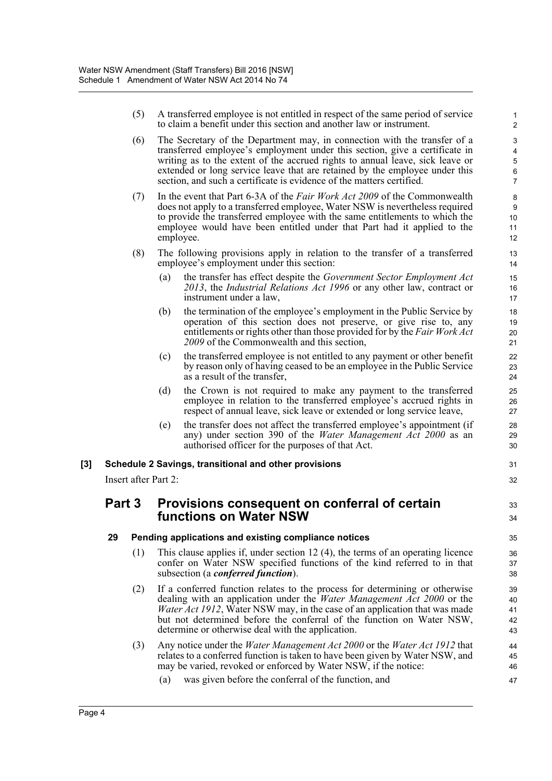(5) A transferred employee is not entitled in respect of the same period of service to claim a benefit under this section and another law or instrument.

31 32

33 34

47

- (6) The Secretary of the Department may, in connection with the transfer of a transferred employee's employment under this section, give a certificate in writing as to the extent of the accrued rights to annual leave, sick leave or extended or long service leave that are retained by the employee under this section, and such a certificate is evidence of the matters certified.
- (7) In the event that Part 6-3A of the *Fair Work Act 2009* of the Commonwealth does not apply to a transferred employee, Water NSW is nevertheless required to provide the transferred employee with the same entitlements to which the employee would have been entitled under that Part had it applied to the employee.
- (8) The following provisions apply in relation to the transfer of a transferred employee's employment under this section:
	- (a) the transfer has effect despite the *Government Sector Employment Act 2013*, the *Industrial Relations Act 1996* or any other law, contract or instrument under a law,
	- (b) the termination of the employee's employment in the Public Service by operation of this section does not preserve, or give rise to, any entitlements or rights other than those provided for by the *Fair Work Act 2009* of the Commonwealth and this section,
	- (c) the transferred employee is not entitled to any payment or other benefit by reason only of having ceased to be an employee in the Public Service as a result of the transfer,
	- (d) the Crown is not required to make any payment to the transferred employee in relation to the transferred employee's accrued rights in respect of annual leave, sick leave or extended or long service leave,
	- (e) the transfer does not affect the transferred employee's appointment (if any) under section 390 of the *Water Management Act 2000* as an authorised officer for the purposes of that Act.

#### **[3] Schedule 2 Savings, transitional and other provisions**

Insert after Part 2:

#### **Part 3 Provisions consequent on conferral of certain functions on Water NSW**

- **29 Pending applications and existing compliance notices**
	- (1) This clause applies if, under section 12 (4), the terms of an operating licence confer on Water NSW specified functions of the kind referred to in that subsection (a *conferred function*).
	- (2) If a conferred function relates to the process for determining or otherwise dealing with an application under the *Water Management Act 2000* or the *Water Act 1912*, Water NSW may, in the case of an application that was made but not determined before the conferral of the function on Water NSW, determine or otherwise deal with the application.
	- (3) Any notice under the *Water Management Act 2000* or the *Water Act 1912* that relates to a conferred function is taken to have been given by Water NSW, and may be varied, revoked or enforced by Water NSW, if the notice: 44 45 46
		- (a) was given before the conferral of the function, and